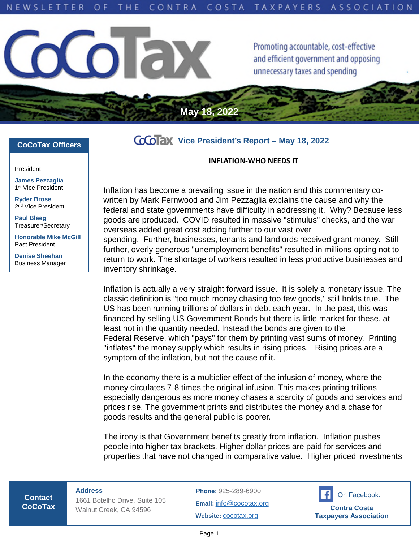**May 18, 2022**



Promoting accountable, cost-effective and efficient government and opposing unnecessary taxes and spending

## **CoCoTax Officers**

President

**James Pezzaglia** 1 st Vice President

**Ryder Brose** 2<sup>nd</sup> Vice President

**Paul Bleeg** Treasurer/Secretary

**Honorable Mike McGill** Past President

**Denise Sheehan** Business Manager

## **Vice President's Report – May 18, 2022**

## **INFLATION-WHO NEEDS IT**

Inflation has become a prevailing issue in the nation and this commentary cowritten by Mark Fernwood and Jim Pezzaglia explains the cause and why the federal and state governments have difficulty in addressing it. Why? Because less goods are produced. COVID resulted in massive "stimulus" checks, and the war overseas added great cost adding further to our vast over spending. Further, businesses, tenants and landlords received grant money. Still further, overly generous "unemployment benefits" resulted in millions opting not to return to work. The shortage of workers resulted in less productive businesses and inventory shrinkage.

Inflation is actually a very straight forward issue. It is solely a monetary issue. The classic definition is "too much money chasing too few goods," still holds true. The US has been running trillions of dollars in debt each year. In the past, this was financed by selling US Government Bonds but there is little market for these, at least not in the quantity needed. Instead the bonds are given to the Federal Reserve, which "pays" for them by printing vast sums of money. Printing "inflates" the money supply which results in rising prices. Rising prices are a symptom of the inflation, but not the cause of it.

In the economy there is a multiplier effect of the infusion of money, where the money circulates 7-8 times the original infusion. This makes printing trillions especially dangerous as more money chases a scarcity of goods and services and prices rise. The government prints and distributes the money and a chase for goods results and the general public is poorer.

The irony is that Government benefits greatly from inflation. Inflation pushes people into higher tax brackets. Higher dollar prices are paid for services and properties that have not changed in comparative value. Higher priced investments

**Contact CoCoTax** **Address** 1661 Botelho Drive, Suite 105 Walnut Creek, CA 94596

**Phone:** 925-289-6900

**Email:** [info@cocotax.org](mailto:info@cocotax.org) **Website:** [cocotax.org](https://www.cocotax.org/)

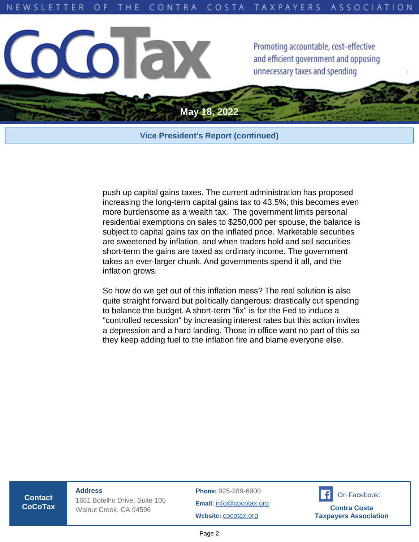

## **Vice President's Report (continued)**

push up capital gains taxes. The current administration has proposed increasing the long-term capital gains tax to 43.5%; this becomes even more burdensome as a wealth tax. The government limits personal residential exemptions on sales to \$250,000 per spouse, the balance is subject to capital gains tax on the inflated price. Marketable securities are sweetened by inflation, and when traders hold and sell securities short-term the gains are taxed as ordinary income. The government takes an ever-larger chunk. And governments spend it all, and the inflation grows.

So how do we get out of this inflation mess? The real solution is also quite straight forward but politically dangerous: drastically cut spending to balance the budget. A short-term "fix" is for the Fed to induce a "controlled recession" by increasing interest rates but this action invites a depression and a hard landing. Those in office want no part of this so they keep adding fuel to the inflation fire and blame everyone else.

**Contact CoCoTax** **Address** 1661 Botelho Drive, Suite 105 Walnut Creek, CA 94596

**Phone:** 925-289-6900

**Email:** [info@cocotax.org](mailto:info@cocotax.org) **Website:** [cocotax.org](https://www.cocotax.org/)



Page 2